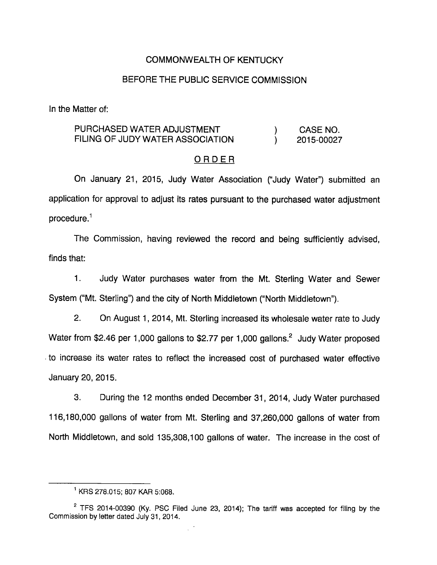### COMMONWEALTH OF KENTUCKY

### BEFORE THE PUBLIC SERVICE COMMISSION

In the Matter of:

## PURCHASED WATER ADJUSTMENT (a) CASE NO. FILING OF JUDY WATER ASSOCIATION (2015-00027)

#### ORDER

On January 21, 2015, Judy Water Association ("Judy Water") submitted an application for approval to adjust its rates pursuant to the purchased water adjustment procedure. $<sup>1</sup>$ </sup>

The Commission, having reviewed the record and being sufficiently advised, finds that:

1. Judy Water purchases water from the Mt. Sterling Water and Sewer System ("Mt. Sterling") and the city of North Middletown ("North Middletown").

2. On August 1, 2014, Mt. Sterling increased its wholesale water rate to Judy Water from \$2.46 per 1,000 gallons to \$2.77 per 1,000 gallons.<sup>2</sup> Judy Water proposed to increase its water rates to reflect the increased cost of purchased water effective January 20, 2015.

3. During the 12 months ended December 31, 2014, Judy Water purchased 116,180,000 gallons of water from Mt. Sterling and 37,260,000 gallons of water from North Middletown, and sold 135,308,100 gallons of water. The increase in the cost of

 $^1$  KRS 278.015; 807 KAR 5:068.

 $2$  TFS 2014-00390 (Ky. PSC Filed June 23, 2014); The tariff was accepted for filing by the Commission by letter dated July 31, 2014.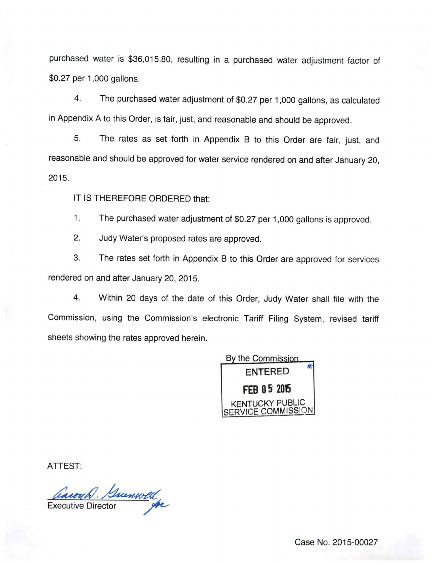purchased water is \$36,015.80, resulting in a purchased water adjustment factor of \$0.27 per 1,000 gallons.

4. The purchased water adjustment of \$0.27 per 1,000 gallons, as calculated in Appendix A to this Order, is fair, just, and reasonable and should be approved.

5. The rates as set forth in Appendix B to this Order are fair, just, and reasonable and should be approved for water service rendered on and after January 20, 2015.

IT IS THEREFORE ORDERED that:

1. The purchased water adjustment of \$0.27 per 1,000 gallons is approved.

2. Judy Water's proposed rates are approved.

3. The rates set forth in Appendix B to this Order are approved for services rendered on and after January 20, 2015.

4. Within 20 days of the date of this Order, Judy Water shall file with the Commission, using the Commission's electronic Tariff Filing System, revised tariff sheets showing the rates approved herein.



ATTEST:

Carouch. Surveyold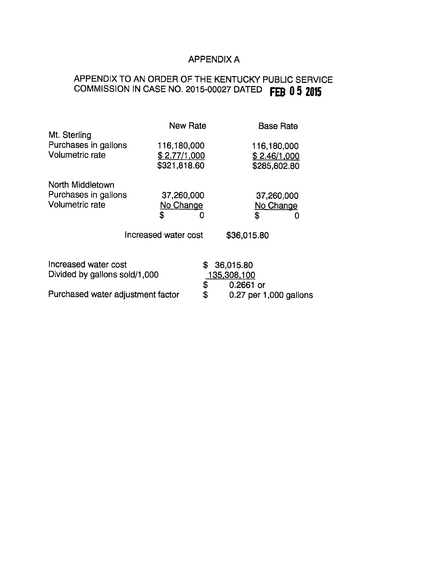## APPENDIX A

# APPENDIX TO AN ORDER OF THE KENTUCKY PUBLIC SERVICE COMMISSION IN CASE NO. 2015-00027 DATED FEB 0 5 2015

|                                   |                      | <b>New Rate</b> |                                       | <b>Base Rate</b> |  |
|-----------------------------------|----------------------|-----------------|---------------------------------------|------------------|--|
| Mt. Sterling                      |                      |                 |                                       |                  |  |
| Purchases in gallons              | 116,180,000          |                 | 116,180,000                           |                  |  |
| <b>Volumetric rate</b>            | \$2.77/1,000         |                 | \$2.46/1,000                          |                  |  |
|                                   | \$321,818.60         |                 | \$285,802.80                          |                  |  |
| North Middletown                  |                      |                 |                                       |                  |  |
| Purchases in gallons              | 37,260,000           |                 | 37,260,000                            |                  |  |
| <b>Volumetric rate</b>            | No Change            |                 | No Change                             |                  |  |
|                                   | \$                   | 0               | \$                                    | O                |  |
|                                   | Increased water cost |                 | \$36,015.80                           |                  |  |
| Increased water cost              |                      | \$              | 36,015.80                             |                  |  |
| Divided by gallons sold/1,000     |                      |                 | 135,308,100                           |                  |  |
| Purchased water adjustment factor |                      | \$<br>\$        | $0.2661$ or<br>0.27 per 1,000 gallons |                  |  |
|                                   |                      |                 |                                       |                  |  |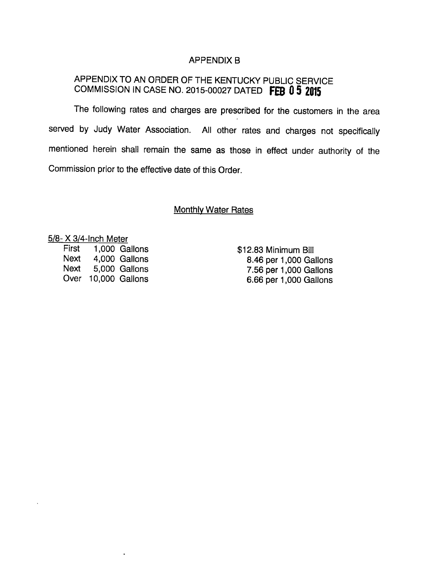## APPENDIX B

# APPENDIX TO AN ORDER OF THE KENTUCKY PUBLIC SERVICE COMMISSION IN CASE NO. 2015-00027 DATED FEB 0 5 2015

The following rates and charges are prescribed for the customers in the area served by Judy Water Association. All other rates and charges not specifically mentioned herein shall remain the same as those in effect under authority of the Commission prior to the effective date of this Order.

## **Monthly Water Rates**

5/8- X 3/4-Inch Meter

First 1,000 Gallons Next 4,000 Gallons Next 5,000 Gallons Over 10,000 Gallons

 $\ddot{\phantom{1}}$ 

\$12.83 Minimum Bill 8.46 per 1,000 Gallons 7.56 per 1,000 Gallons 6.66 per 1,000 Gallons